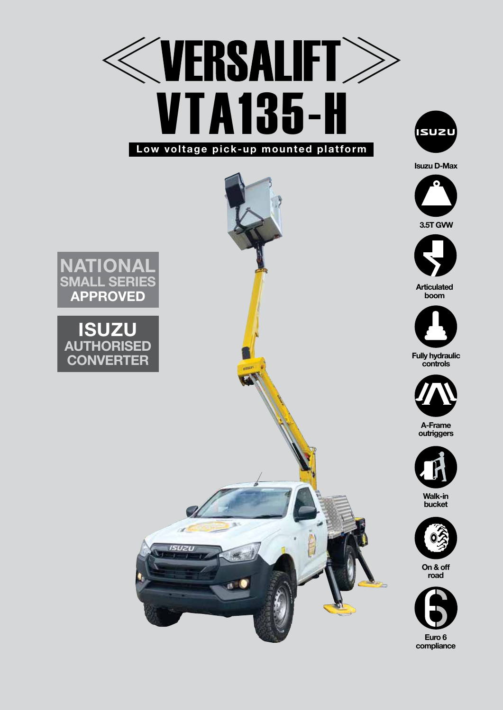



**Isuzu D-Max**





**Articulated boom**



**Fully hydraulic controls**



**A-Frame outriggers**



**Walk-in bucket**



**On & off road**



**National SMALL SERIES APPROVED**

**ISUZ AUTHORISED CONVERTER**

ISUZU